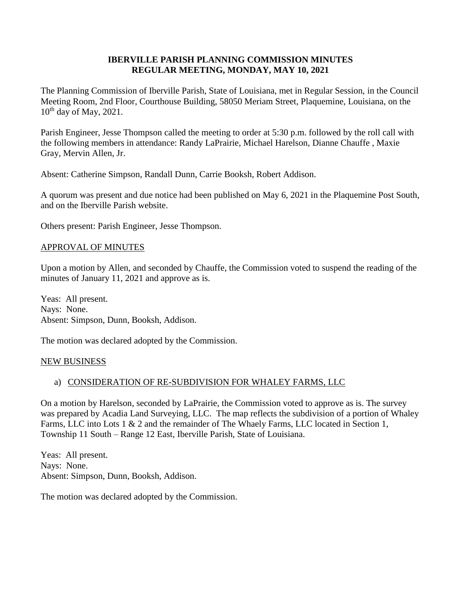## **IBERVILLE PARISH PLANNING COMMISSION MINUTES REGULAR MEETING, MONDAY, MAY 10, 2021**

The Planning Commission of Iberville Parish, State of Louisiana, met in Regular Session, in the Council Meeting Room, 2nd Floor, Courthouse Building, 58050 Meriam Street, Plaquemine, Louisiana, on the 10<sup>th</sup> day of May, 2021.

Parish Engineer, Jesse Thompson called the meeting to order at 5:30 p.m. followed by the roll call with the following members in attendance: Randy LaPrairie, Michael Harelson, Dianne Chauffe , Maxie Gray, Mervin Allen, Jr.

Absent: Catherine Simpson, Randall Dunn, Carrie Booksh, Robert Addison.

A quorum was present and due notice had been published on May 6, 2021 in the Plaquemine Post South, and on the Iberville Parish website.

Others present: Parish Engineer, Jesse Thompson.

## APPROVAL OF MINUTES

Upon a motion by Allen, and seconded by Chauffe, the Commission voted to suspend the reading of the minutes of January 11, 2021 and approve as is.

Yeas: All present. Nays: None. Absent: Simpson, Dunn, Booksh, Addison.

The motion was declared adopted by the Commission.

### NEW BUSINESS

# a) CONSIDERATION OF RE-SUBDIVISION FOR WHALEY FARMS, LLC

On a motion by Harelson, seconded by LaPrairie, the Commission voted to approve as is. The survey was prepared by Acadia Land Surveying, LLC. The map reflects the subdivision of a portion of Whaley Farms, LLC into Lots 1 & 2 and the remainder of The Whaely Farms, LLC located in Section 1, Township 11 South – Range 12 East, Iberville Parish, State of Louisiana.

Yeas: All present. Nays: None. Absent: Simpson, Dunn, Booksh, Addison.

The motion was declared adopted by the Commission.